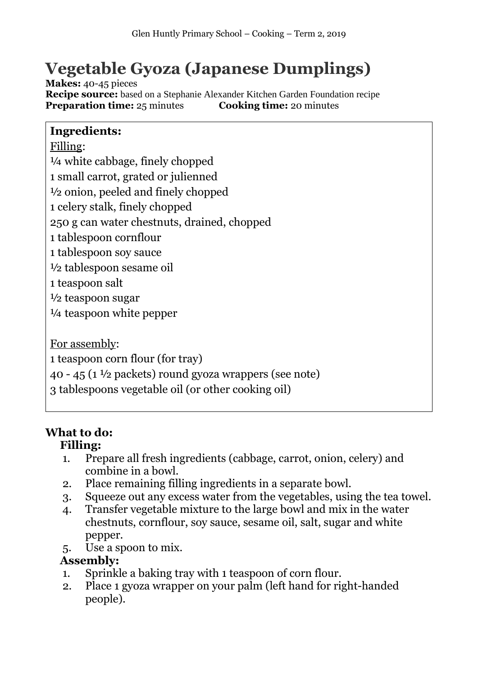# **Vegetable Gyoza (Japanese Dumplings)**

**Makes:** 40-45 pieces **Recipe source:** based on a Stephanie Alexander Kitchen Garden Foundation recipe **Preparation time:** 25 minutes **Cooking time:** 20 minutes

### **Ingredients:**

Filling:

¼ white cabbage, finely chopped

1 small carrot, grated or julienned

½ onion, peeled and finely chopped

1 celery stalk, finely chopped

250 g can water chestnuts, drained, chopped

1 tablespoon cornflour

1 tablespoon soy sauce

½ tablespoon sesame oil

1 teaspoon salt

½ teaspoon sugar

¼ teaspoon white pepper

For assembly:

1 teaspoon corn flour (for tray)

40 - 45 (1 $\frac{1}{2}$  packets) round gyoza wrappers (see note)

3 tablespoons vegetable oil (or other cooking oil)

# **What to do:**

# **Filling:**

- 1. Prepare all fresh ingredients (cabbage, carrot, onion, celery) and combine in a bowl.
- 2. Place remaining filling ingredients in a separate bowl.
- 3. Squeeze out any excess water from the vegetables, using the tea towel.
- 4. Transfer vegetable mixture to the large bowl and mix in the water chestnuts, cornflour, soy sauce, sesame oil, salt, sugar and white pepper.
- 5. Use a spoon to mix.

### **Assembly:**

- 1. Sprinkle a baking tray with 1 teaspoon of corn flour.
- 2. Place 1 gyoza wrapper on your palm (left hand for right-handed people).